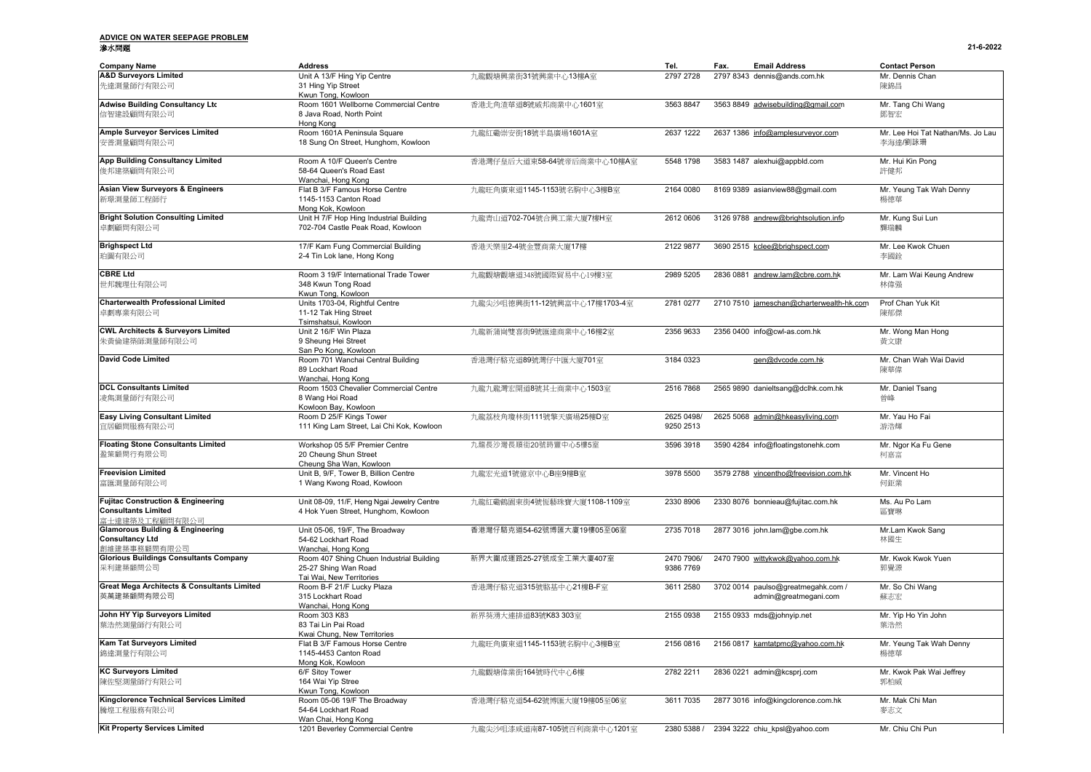### **ADVICE ON WATER SEEPAGE PROBLEM** 滲水問題 **21-6-2022**

| <b>Company Name</b>                                    | <b>Address</b>                                                    |                              | Tel.                    | <b>Email Address</b><br>Fax.             | <b>Contact Person</b>             |  |
|--------------------------------------------------------|-------------------------------------------------------------------|------------------------------|-------------------------|------------------------------------------|-----------------------------------|--|
| <b>A&amp;D Surveyors Limited</b>                       | Unit A 13/F Hing Yip Centre                                       | 九龍觀塘興業街31號興業中心13樓A室          | 2797 2728               | 2797 8343 dennis@ands.com.hk             | Mr. Dennis Chan                   |  |
| 先達測量師行有限公司                                             | 31 Hing Yip Street<br>Kwun Tong, Kowloon                          |                              |                         |                                          | 陳錦昌                               |  |
| <b>Adwise Building Consultancy Ltd</b>                 | Room 1601 Wellborne Commercial Centre<br>8 Java Road, North Point | 香港北角渣華道8號威邦商業中心1601室         | 3563 8847               | 3563 8849 adwisebuilding@gmail.com       | Mr. Tang Chi Wang                 |  |
| 信智建設顧問有限公司                                             | Hong Kong                                                         |                              |                         |                                          | 鄧智宏                               |  |
| <b>Ample Surveyor Services Limited</b>                 | Room 1601A Peninsula Square                                       | 九龍紅磡崇安街18號半島廣場1601A室         | 2637 1222               | 2637 1386 info@amplesurveyor.com         | Mr. Lee Hoi Tat Nathan/Ms. Jo Lau |  |
| 安普測量顧問有限公司                                             | 18 Sung On Street, Hunghom, Kowloon                               |                              |                         |                                          | 李海達/劉詠珊                           |  |
| <b>App Building Consultancy Limited</b>                | Room A 10/F Queen's Centre                                        | 香港灣仔皇后大道東58-64號帝后商業中心10樓A室   | 5548 1798               | 3583 1487 alexhui@appbld.com             | Mr. Hui Kin Pong                  |  |
| 俊邦建築顧問有限公司                                             | 58-64 Queen's Road East<br>Wanchai, Hong Kong                     |                              |                         |                                          | 許健邦                               |  |
| Asian View Surveyors & Engineers                       | Flat B 3/F Famous Horse Centre                                    | 九龍旺角廣東道1145-1153號名駒中心3樓B室    | 2164 0080               | 8169 9389 asianview88@gmail.com          | Mr. Yeung Tak Wah Denny           |  |
| 新璟測量師工程師行                                              | 1145-1153 Canton Road<br>Mong Kok, Kowloon                        |                              |                         |                                          | 楊德華                               |  |
| <b>Bright Solution Consulting Limited</b>              | Unit H 7/F Hop Hing Industrial Building                           | 九龍青山道702-704號合興工業大廈7樓H室      | 2612 0606               | 3126 9788 andrew@brightsolution.info     | Mr. Kung Sui Lun                  |  |
| 卓劃顧問有限公司                                               | 702-704 Castle Peak Road, Kowloon                                 |                              |                         |                                          | 龔瑞麟                               |  |
| <b>Brighspect Ltd</b>                                  | 17/F Kam Fung Commercial Building                                 | 香港天樂里2-4號金豐商業大廈17樓           | 2122 9877               | 3690 2515 kclee@brighspect.com           | Mr. Lee Kwok Chuen                |  |
| 珀圖有限公司                                                 | 2-4 Tin Lok lane, Hong Kong                                       |                              |                         |                                          | 李國銓                               |  |
| <b>CBRE Ltd</b>                                        | Room 3 19/F International Trade Tower                             | 九龍觀塘觀塘道348號國際貿易中心19樓3室       | 2989 5205               | 2836 0881 andrew.lam@cbre.com.hk         | Mr. Lam Wai Keung Andrew          |  |
| 世邦魏理仕有限公司                                              | 348 Kwun Tong Road<br>Kwun Tong, Kowloon                          |                              |                         |                                          | 林偉强                               |  |
| <b>Charterwealth Professional Limited</b>              | Units 1703-04, Rightful Centre                                    | 九龍尖沙咀德興街11-12號興富中心17樓1703-4室 | 2781 0277               | 2710 7510 jameschan@charterwealth-hk.com | Prof Chan Yuk Kit                 |  |
| 卓劃專業有限公司                                               | 11-12 Tak Hing Street<br>Tsimshatsui, Kowloon                     |                              |                         |                                          | 陳郁傑                               |  |
| <b>CWL Architects &amp; Surveyors Limited</b>          | Unit 2 16/F Win Plaza                                             | 九龍新蒲崗雙喜街9號匯達商業中心16樓2室        | 2356 9633               | 2356 0400 info@cwl-as.com.hk             | Mr. Wong Man Hong                 |  |
| 朱黃倫建築師測量師有限公司                                          | 9 Sheung Hei Street                                               |                              |                         |                                          | 黃文康                               |  |
|                                                        | San Po Kong, Kowloon<br>Room 701 Wanchai Central Building         |                              |                         |                                          |                                   |  |
| <b>David Code Limited</b>                              | 89 Lockhart Road                                                  | 香港灣仔駱克道89號灣仔中匯大廈701室         | 3184 0323               | gen@dvcode.com.hk                        | Mr. Chan Wah Wai David<br>陳華偉     |  |
|                                                        | Wanchai, Hong Kong                                                |                              |                         |                                          |                                   |  |
| <b>DCL Consultants Limited</b><br>凌雋測量師行有限公司           | Room 1503 Chevalier Commercial Centre<br>8 Wang Hoi Road          | 九龍九龍灣宏開道8號其士商業中心1503室        | 2516 7868               | 2565 9890 danieltsang@dclhk.com.hk       | Mr. Daniel Tsang<br>曾峰            |  |
|                                                        | Kowloon Bay, Kowloon<br>Room D 25/F Kings Tower                   |                              |                         |                                          |                                   |  |
| <b>Easy Living Consultant Limited</b><br>官居顧問服務有限公司    | 111 King Lam Street, Lai Chi Kok, Kowloon                         | 九龍荔枝角瓊林街111號擎天廣場25樓D室        | 2625 0498/<br>9250 2513 | 2625 5068 admin@hkeasyliving.com         | Mr. Yau Ho Fai<br>游浩輝             |  |
| <b>Floating Stone Consultants Limited</b>              | Workshop 05 5/F Premier Centre                                    | 九龍長沙灣長順街20號時豐中心5樓5室          | 3596 3918               | 3590 4284 info@floatingstonehk.com       | Mr. Ngor Ka Fu Gene               |  |
| 盈策顧問行有限公司                                              | 20 Cheung Shun Street                                             |                              |                         |                                          | 柯嘉富                               |  |
|                                                        | Cheung Sha Wan, Kowloon                                           |                              |                         |                                          |                                   |  |
| <b>Freevision Limited</b>                              | Unit B, 9/F, Tower B, Billion Centre                              | 九龍宏光道1號億京中心B座9樓B室            | 3978 5500               | 3579 2788 vincentho@freevision.com.hk    | Mr. Vincent Ho                    |  |
| 富匯測量師有限公司                                              | 1 Wang Kwong Road, Kowloon                                        |                              |                         |                                          | 何鉅業                               |  |
| <b>Fujitac Construction &amp; Engineering</b>          | Unit 08-09, 11/F, Heng Ngai Jewelry Centre                        | 九龍紅磡鶴園東街4號恆藝珠寶大廈1108-1109室   | 2330 8906               | 2330 8076 bonnieau@fujitac.com.hk        | Ms. Au Po Lam                     |  |
| <b>Consultants Limited</b><br>富士達建築及工程顧問有限公司           | 4 Hok Yuen Street, Hunghom, Kowloon                               |                              |                         |                                          | 區寶琳                               |  |
| <b>Glamorous Building &amp; Engineering</b>            | Unit 05-06, 19/F, The Broadway                                    | 香港灣仔駱克道54-62號博匯大廈19樓05至06室   | 2735 7018               | 2877 3016 john.lam@gbe.com.hk            | Mr.Lam Kwok Sang                  |  |
| <b>Consultancy Ltd</b>                                 | 54-62 Lockhart Road                                               |                              |                         |                                          | 林國生                               |  |
| 創維建築事務顧問有限公司                                           | Wanchai, Hong Kong                                                |                              |                         |                                          |                                   |  |
| <b>Glorious Buildings Consultants Company</b>          | Room 407 Shing Chuen Industrial Building                          | 新界大圍成運路25-27號成全工業大廈407室      | 2470 7906/              | 2470 7900 wittykwok@yahoo.com.hk         | Mr. Kwok Kwok Yuen                |  |
| 采利建築顧問公司                                               | 25-27 Shing Wan Road                                              |                              | 9386 7769               |                                          | 郭覺源                               |  |
|                                                        | Tai Wai, New Territories                                          |                              |                         |                                          |                                   |  |
| <b>Great Mega Architects &amp; Consultants Limited</b> | Room B-F 21/F Lucky Plaza                                         | 香港灣仔駱克道315號駱基中心21樓B-F室       | 3611 2580               | 3702 0014 paulso@greatmegahk.com /       | Mr. So Chi Wang                   |  |
| 英萬建築顧問有限公司                                             | 315 Lockhart Road                                                 |                              |                         | admin@greatmegani.com                    | 蘇志宏                               |  |
|                                                        | Wanchai, Hong Kong                                                |                              |                         |                                          |                                   |  |
| John HY Yip Surveyors Limited                          | Room 303 K83                                                      | 新界葵湧大連排道83號K83 303室          | 2155 0938               | 2155 0933 mds@johnyip.net                | Mr. Yip Ho Yin John               |  |
| 葉浩然測量師行有限公司                                            | 83 Tai Lin Pai Road                                               |                              |                         |                                          | 葉浩然                               |  |
|                                                        | Kwai Chung, New Territories                                       |                              |                         |                                          |                                   |  |
| <b>Kam Tat Surveyors Limited</b><br>錦達測量行有限公司          | Flat B 3/F Famous Horse Centre<br>1145-4453 Canton Road           | 九龍旺角廣東道1145-1153號名駒中心3樓B室    | 2156 0816               | 2156 0817 kamtatpmc@yahoo.com.hk         | Mr. Yeung Tak Wah Denny<br>楊德華    |  |
|                                                        | Mong Kok, Kowloon                                                 |                              |                         |                                          |                                   |  |
| <b>KC Surveyors Limited</b><br>陳佐堅測量師行有限公司             | 6/F Sitoy Tower<br>164 Wai Yip Stree                              | 九龍觀塘偉業街164號時代中心6樓            | 2782 2211               | 2836 0221 admin@kcsprj.com               | Mr. Kwok Pak Wai Jeffrey<br>郭柏威   |  |
|                                                        | Kwun Tong, Kowloon                                                |                              |                         |                                          |                                   |  |
| Kingclorence Technical Services Limited                | Room 05-06 19/F The Broadway                                      | 香港灣仔駱克道54-62號博匯大廈19樓05至06室   | 3611 7035               | 2877 3016 info@kingclorence.com.hk       | Mr. Mak Chi Man                   |  |
| 騰煌工程服務有限公司                                             | 54-64 Lockhart Road                                               |                              |                         |                                          | 麥志文                               |  |
|                                                        | Wan Chai, Hong Kong                                               |                              |                         |                                          |                                   |  |
| <b>Kit Property Services Limited</b>                   | 1201 Beverley Commercial Centre                                   | 九龍尖沙咀漆咸道南87-105號百利商業中心1201室  | 2380 5388 /             | 2394 3222 chiu_kpsl@yahoo.com            | Mr. Chiu Chi Pun                  |  |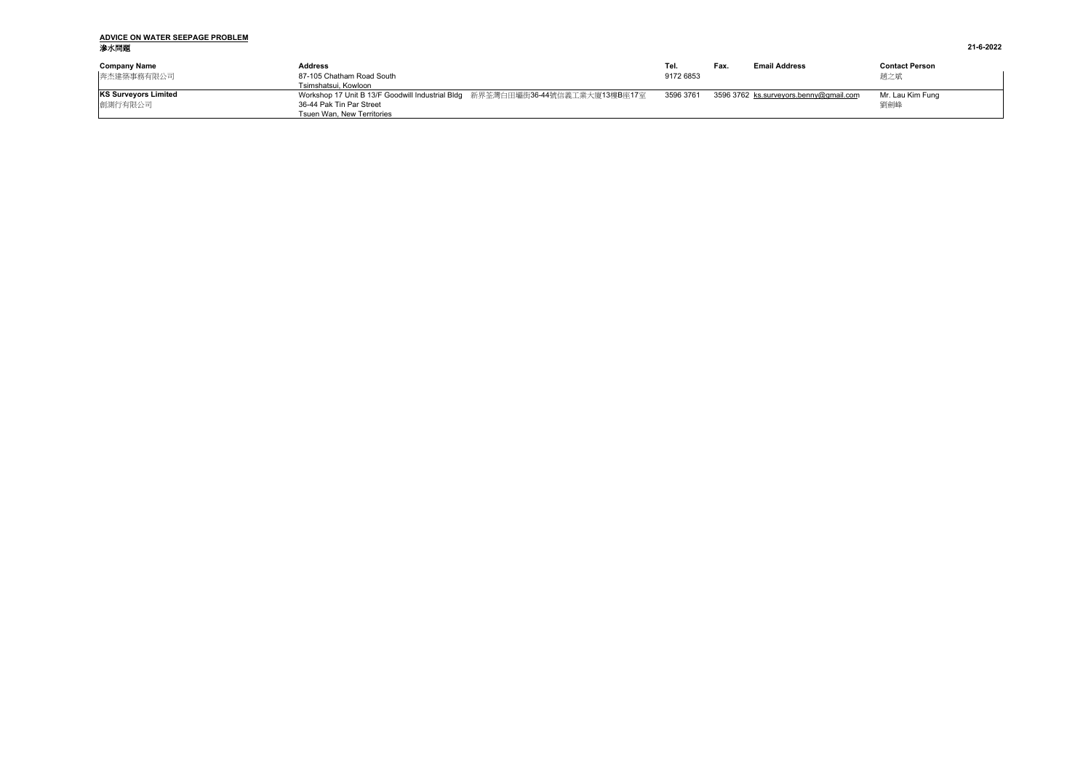# **ADVICE ON WATER SEEPAGE PROBLEM** 滲水問題 **21-6-2022**

| <b>Company Name</b><br>奔杰建築事務有限公司      | Address<br>87-105 Chatham Road South<br>Tsimshatsui. Kowloon                                                                            | Tel.<br>9172 6853 | Fax. | <b>Email Address</b>                   | <b>Contact Person</b><br>趙之斌 |
|----------------------------------------|-----------------------------------------------------------------------------------------------------------------------------------------|-------------------|------|----------------------------------------|------------------------------|
| <b>KS Surveyors Limited</b><br>創測行有限公司 | Workshop 17 Unit B 13/F Goodwill Industrial Bldg 新界荃灣白田壩街36-44號信義工業大廈13樓B座17室<br>36-44 Pak Tin Par Street<br>Tsuen Wan. New Territories | 3596 3761         |      | 3596 3762 ks.surveyors.benny@gmail.com | Mr. Lau Kim Func<br>劉劍峰      |